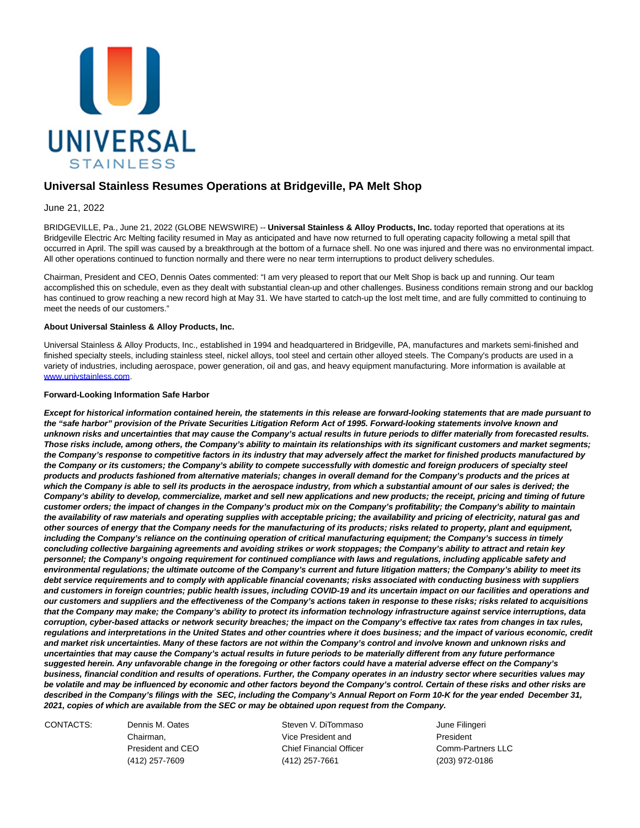

## **Universal Stainless Resumes Operations at Bridgeville, PA Melt Shop**

June 21, 2022

BRIDGEVILLE, Pa., June 21, 2022 (GLOBE NEWSWIRE) -- **Universal Stainless & Alloy Products, Inc.** today reported that operations at its Bridgeville Electric Arc Melting facility resumed in May as anticipated and have now returned to full operating capacity following a metal spill that occurred in April. The spill was caused by a breakthrough at the bottom of a furnace shell. No one was injured and there was no environmental impact. All other operations continued to function normally and there were no near term interruptions to product delivery schedules.

Chairman, President and CEO, Dennis Oates commented: "I am very pleased to report that our Melt Shop is back up and running. Our team accomplished this on schedule, even as they dealt with substantial clean-up and other challenges. Business conditions remain strong and our backlog has continued to grow reaching a new record high at May 31. We have started to catch-up the lost melt time, and are fully committed to continuing to meet the needs of our customers."

## **About Universal Stainless & Alloy Products, Inc.**

Universal Stainless & Alloy Products, Inc., established in 1994 and headquartered in Bridgeville, PA, manufactures and markets semi-finished and finished specialty steels, including stainless steel, nickel alloys, tool steel and certain other alloyed steels. The Company's products are used in a variety of industries, including aerospace, power generation, oil and gas, and heavy equipment manufacturing. More information is available at [www.univstainless.com.](http://www.univstainless.com/)

## **Forward-Looking Information Safe Harbor**

**Except for historical information contained herein, the statements in this release are forward-looking statements that are made pursuant to the "safe harbor" provision of the Private Securities Litigation Reform Act of 1995. Forward-looking statements involve known and unknown risks and uncertainties that may cause the Company's actual results in future periods to differ materially from forecasted results. Those risks include, among others, the Company's ability to maintain its relationships with its significant customers and market segments; the Company's response to competitive factors in its industry that may adversely affect the market for finished products manufactured by the Company or its customers; the Company's ability to compete successfully with domestic and foreign producers of specialty steel products and products fashioned from alternative materials; changes in overall demand for the Company's products and the prices at which the Company is able to sell its products in the aerospace industry, from which a substantial amount of our sales is derived; the Company's ability to develop, commercialize, market and sell new applications and new products; the receipt, pricing and timing of future customer orders; the impact of changes in the Company's product mix on the Company's profitability; the Company's ability to maintain the availability of raw materials and operating supplies with acceptable pricing; the availability and pricing of electricity, natural gas and other sources of energy that the Company needs for the manufacturing of its products; risks related to property, plant and equipment, including the Company's reliance on the continuing operation of critical manufacturing equipment; the Company's success in timely concluding collective bargaining agreements and avoiding strikes or work stoppages; the Company's ability to attract and retain key personnel; the Company's ongoing requirement for continued compliance with laws and regulations, including applicable safety and environmental regulations; the ultimate outcome of the Company's current and future litigation matters; the Company's ability to meet its debt service requirements and to comply with applicable financial covenants; risks associated with conducting business with suppliers and customers in foreign countries; public health issues, including COVID-19 and its uncertain impact on our facilities and operations and our customers and suppliers and the effectiveness of the Company's actions taken in response to these risks; risks related to acquisitions that the Company may make; the Company's ability to protect its information technology infrastructure against service interruptions, data corruption, cyber-based attacks or network security breaches; the impact on the Company's effective tax rates from changes in tax rules, regulations and interpretations in the United States and other countries where it does business; and the impact of various economic, credit and market risk uncertainties. Many of these factors are not within the Company's control and involve known and unknown risks and uncertainties that may cause the Company's actual results in future periods to be materially different from any future performance suggested herein. Any unfavorable change in the foregoing or other factors could have a material adverse effect on the Company's business, financial condition and results of operations. Further, the Company operates in an industry sector where securities values may be volatile and may be influenced by economic and other factors beyond the Company's control. Certain of these risks and other risks are described in the Company's filings with the SEC, including the Company's Annual Report on Form 10-K for the year ended December 31, 2021, copies of which are available from the SEC or may be obtained upon request from the Company.**

CONTACTS: Dennis M. Oates Steven V. DiTommaso June Filingeri Chairman, Vice President and President President and CEO Chief Financial Officer Comm-Partners LLC (412) 257-7609 (412) 257-7661 (203) 972-0186